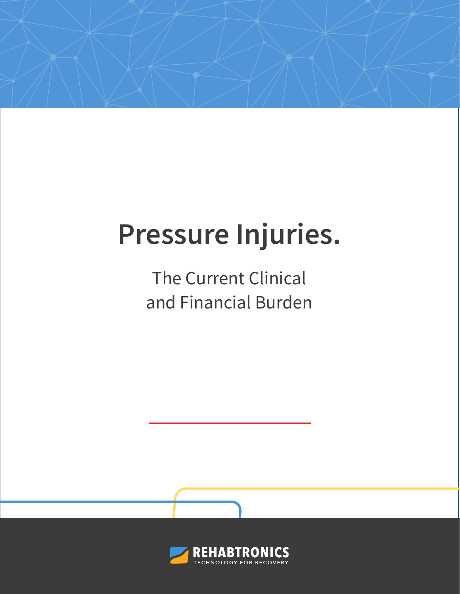# **Pressure Injuries.**

The Current Clinical and Financial Burden

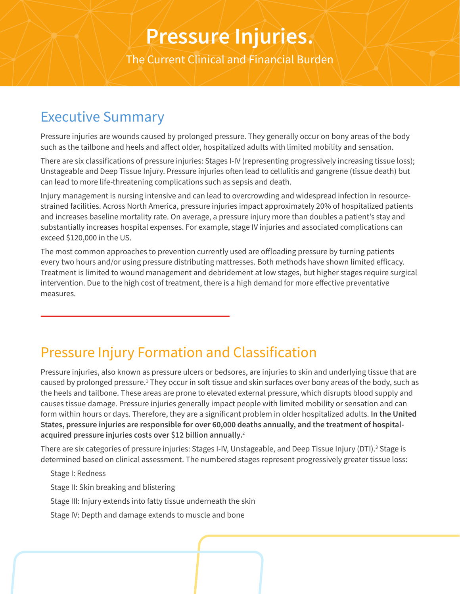## **Pressure Injuries.**

The Current Clinical and Financial Burden

### Executive Summary

Pressure injuries are wounds caused by prolonged pressure. They generally occur on bony areas of the body such as the tailbone and heels and affect older, hospitalized adults with limited mobility and sensation.

There are six classifications of pressure injuries: Stages I-IV (representing progressively increasing tissue loss); Unstageable and Deep Tissue Injury. Pressure injuries often lead to cellulitis and gangrene (tissue death) but can lead to more life-threatening complications such as sepsis and death.

Injury management is nursing intensive and can lead to overcrowding and widespread infection in resourcestrained facilities. Across North America, pressure injuries impact approximately 20% of hospitalized patients and increases baseline mortality rate. On average, a pressure injury more than doubles a patient's stay and substantially increases hospital expenses. For example, stage IV injuries and associated complications can exceed \$120,000 in the US.

The most common approaches to prevention currently used are offloading pressure by turning patients every two hours and/or using pressure distributing mattresses. Both methods have shown limited efficacy. Treatment is limited to wound management and debridement at low stages, but higher stages require surgical intervention. Due to the high cost of treatment, there is a high demand for more effective preventative measures.

### Pressure Injury Formation and Classification

Pressure injuries, also known as pressure ulcers or bedsores, are injuries to skin and underlying tissue that are caused by prolonged pressure.<sup>1</sup> They occur in soft tissue and skin surfaces over bony areas of the body, such as the heels and tailbone. These areas are prone to elevated external pressure, which disrupts blood supply and causes tissue damage. Pressure injuries generally impact people with limited mobility or sensation and can form within hours or days. Therefore, they are a significant problem in older hospitalized adults. **In the United States, pressure injuries are responsible for over 60,000 deaths annually, and the treatment of hospitalacquired pressure injuries costs over \$12 billion annually.**<sup>2</sup>

There are six categories of pressure injuries: Stages I-IV, Unstageable, and Deep Tissue Injury (DTI).<sup>3</sup> Stage is determined based on clinical assessment. The numbered stages represent progressively greater tissue loss:

Stage I: Redness Stage II: Skin breaking and blistering Stage III: Injury extends into fatty tissue underneath the skin Stage IV: Depth and damage extends to muscle and bone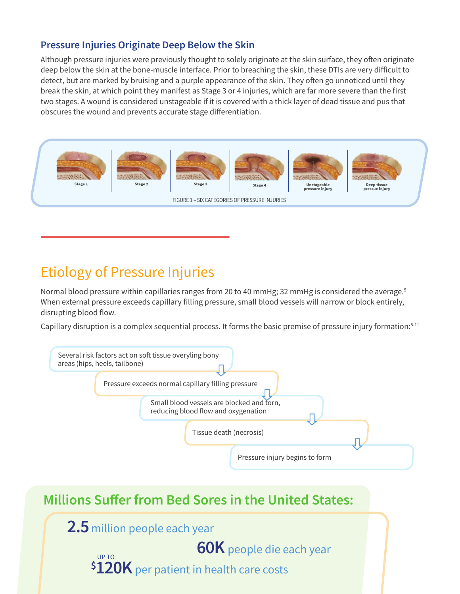#### **Pressure Injuries Originate Deep Below the Skin**

Although pressure injuries were previously thought to solely originate at the skin surface, they often originate deep below the skin at the bone-muscle interface. Prior to breaching the skin, these DTIs are very difficult to detect, but are marked by bruising and a purple appearance of the skin. They often go unnoticed until they break the skin, at which point they manifest as Stage 3 or 4 injuries, which are far more severe than the first two stages. A wound is considered unstageable if it is covered with a thick layer of dead tissue and pus that obscures the wound and prevents accurate stage differentiation.



### Etiology of Pressure Injuries

Normal blood pressure within capillaries ranges from 20 to 40 mmHg; 32 mmHg is considered the average.<sup>5</sup> When external pressure exceeds capillary filling pressure, small blood vessels will narrow or block entirely, disrupting blood flow.

Capillary disruption is a complex sequential process. It forms the basic premise of pressure injury formation:<sup>8-11</sup>

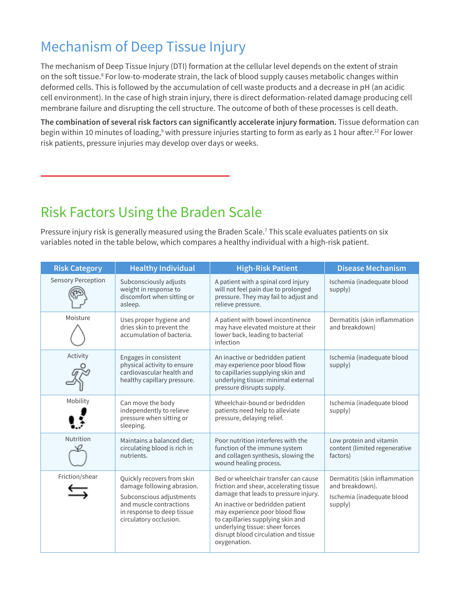### Mechanism of Deep Tissue Injury

The mechanism of Deep Tissue Injury (DTI) formation at the cellular level depends on the extent of strain on the soft tissue.<sup>8</sup> For low-to-moderate strain, the lack of blood supply causes metabolic changes within deformed cells. This is followed by the accumulation of cell waste products and a decrease in pH (an acidic cell environment). In the case of high strain injury, there is direct deformation-related damage producing cell membrane failure and disrupting the cell structure. The outcome of both of these processes is cell death.

**The combination of several risk factors can significantly accelerate injury formation.** Tissue deformation can begin within 10 minutes of loading,<sup>9</sup> with pressure injuries starting to form as early as 1 hour after.<sup>12</sup> For lower risk patients, pressure injuries may develop over days or weeks.

### Risk Factors Using the Braden Scale

Pressure injury risk is generally measured using the Braden Scale.<sup>7</sup> This scale evaluates patients on six variables noted in the table below, which compares a healthy individual with a high-risk patient.

| <b>Risk Category</b>      | <b>Healthy Individual</b>                                                                                                                                               | <b>High-Risk Patient</b>                                                                                                                                                                                                                                                                                                       | <b>Disease Mechanism</b>                                                                  |
|---------------------------|-------------------------------------------------------------------------------------------------------------------------------------------------------------------------|--------------------------------------------------------------------------------------------------------------------------------------------------------------------------------------------------------------------------------------------------------------------------------------------------------------------------------|-------------------------------------------------------------------------------------------|
| <b>Sensory Perception</b> | Subconsciously adjusts<br>weight in response to<br>discomfort when sitting or<br>asleep.                                                                                | A patient with a spinal cord injury<br>will not feel pain due to prolonged<br>pressure. They may fail to adjust and<br>relieve pressure.                                                                                                                                                                                       | Ischemia (inadequate blood<br>supply)                                                     |
| Moisture                  | Uses proper hygiene and<br>dries skin to prevent the<br>accumulation of bacteria.                                                                                       | A patient with bowel incontinence<br>may have elevated moisture at their<br>lower back, leading to bacterial<br>infection                                                                                                                                                                                                      | Dermatitis (skin inflammation<br>and breakdown)                                           |
| Activity                  | Engages in consistent<br>physical activity to ensure<br>cardiovascular health and<br>healthy capillary pressure.                                                        | An inactive or bedridden patient<br>may experience poor blood flow<br>to capillaries supplying skin and<br>underlying tissue: minimal external<br>pressure disrupts supply.                                                                                                                                                    | Ischemia (inadequate blood<br>supply)                                                     |
| Mobility                  | Can move the body<br>independently to relieve<br>pressure when sitting or<br>sleeping.                                                                                  | Wheelchair-bound or bedridden<br>patients need help to alleviate<br>pressure, delaying relief.                                                                                                                                                                                                                                 | Ischemia (inadequate blood<br>supply)                                                     |
| Nutrition                 | Maintains a balanced diet;<br>circulating blood is rich in<br>nutrients.                                                                                                | Poor nutrition interferes with the<br>function of the immune system<br>and collagen synthesis, slowing the<br>wound healing process.                                                                                                                                                                                           | Low protein and vitamin<br>content (limited regenerative<br>factors)                      |
| Friction/shear            | Quickly recovers from skin<br>damage following abrasion.<br>Subconscious adjustments<br>and muscle contractions<br>in response to deep tissue<br>circulatory occlusion. | Bed or wheelchair transfer can cause<br>friction and shear, accelerating tissue<br>damage that leads to pressure injury.<br>An inactive or bedridden patient<br>may experience poor blood flow<br>to capillaries supplying skin and<br>underlying tissue: sheer forces<br>disrupt blood circulation and tissue<br>oxygenation. | Dermatitis (skin inflammation<br>and breakdown).<br>Ischemia (inadequate blood<br>supply) |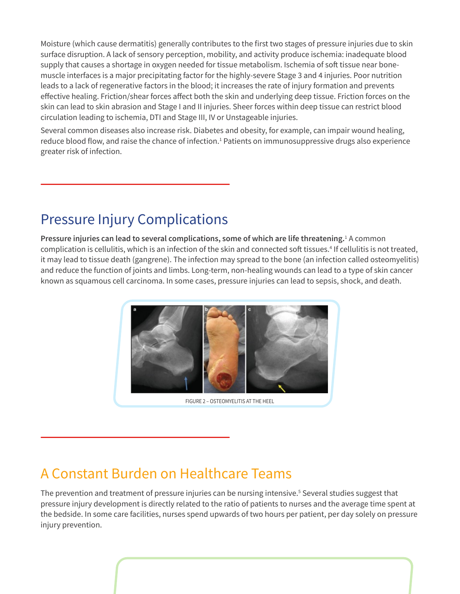Moisture (which cause dermatitis) generally contributes to the first two stages of pressure injuries due to skin surface disruption. A lack of sensory perception, mobility, and activity produce ischemia: inadequate blood supply that causes a shortage in oxygen needed for tissue metabolism. Ischemia of soft tissue near bonemuscle interfaces is a major precipitating factor for the highly-severe Stage 3 and 4 injuries. Poor nutrition leads to a lack of regenerative factors in the blood; it increases the rate of injury formation and prevents effective healing. Friction/shear forces affect both the skin and underlying deep tissue. Friction forces on the skin can lead to skin abrasion and Stage I and II injuries. Sheer forces within deep tissue can restrict blood circulation leading to ischemia, DTI and Stage III, IV or Unstageable injuries.

Several common diseases also increase risk. Diabetes and obesity, for example, can impair wound healing, reduce blood flow, and raise the chance of infection.<sup>1</sup> Patients on immunosuppressive drugs also experience greater risk of infection.

### Pressure Injury Complications

Pressure injuries can lead to several complications, some of which are life threatening.<sup>1</sup> A common complication is cellulitis, which is an infection of the skin and connected soft tissues.<sup>4</sup> If cellulitis is not treated, it may lead to tissue death (gangrene). The infection may spread to the bone (an infection called osteomyelitis) and reduce the function of joints and limbs. Long-term, non-healing wounds can lead to a type of skin cancer known as squamous cell carcinoma. In some cases, pressure injuries can lead to sepsis, shock, and death.



FIGURE 2 – OSTEOMYELITIS AT THE HEEL

### A Constant Burden on Healthcare Teams

The prevention and treatment of pressure injuries can be nursing intensive.<sup>5</sup> Several studies suggest that pressure injury development is directly related to the ratio of patients to nurses and the average time spent at the bedside. In some care facilities, nurses spend upwards of two hours per patient, per day solely on pressure injury prevention.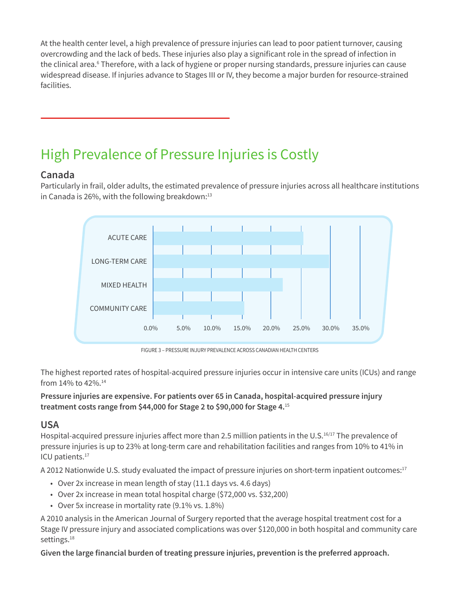At the health center level, a high prevalence of pressure injuries can lead to poor patient turnover, causing overcrowding and the lack of beds. These injuries also play a significant role in the spread of infection in the clinical area.<sup>6</sup> Therefore, with a lack of hygiene or proper nursing standards, pressure injuries can cause widespread disease. If injuries advance to Stages III or IV, they become a major burden for resource-strained facilities.

### High Prevalence of Pressure Injuries is Costly

#### **Canada**

Particularly in frail, older adults, the estimated prevalence of pressure injuries across all healthcare institutions in Canada is 26%, with the following breakdown: $13$ 



FIGURE 3 – PRESSURE INJURY PREVALENCE ACROSS CANADIAN HEALTH CENTERS

The highest reported rates of hospital-acquired pressure injuries occur in intensive care units (ICUs) and range from 14% to 42%.14

**Pressure injuries are expensive. For patients over 65 in Canada, hospital-acquired pressure injury treatment costs range from \$44,000 for Stage 2 to \$90,000 for Stage 4.**<sup>15</sup>

#### **USA**

Hospital-acquired pressure injuries affect more than 2.5 million patients in the U.S.<sup>16/17</sup> The prevalence of pressure injuries is up to 23% at long-term care and rehabilitation facilities and ranges from 10% to 41% in ICU patients.<sup>17</sup>

A 2012 Nationwide U.S. study evaluated the impact of pressure injuries on short-term inpatient outcomes:<sup>17</sup>

- Over 2x increase in mean length of stay (11.1 days vs. 4.6 days)
- Over 2x increase in mean total hospital charge (\$72,000 vs. \$32,200)
- Over 5x increase in mortality rate (9.1% vs. 1.8%)

A 2010 analysis in the American Journal of Surgery reported that the average hospital treatment cost for a Stage IV pressure injury and associated complications was over \$120,000 in both hospital and community care settings.<sup>18</sup>

**Given the large financial burden of treating pressure injuries, prevention is the preferred approach.**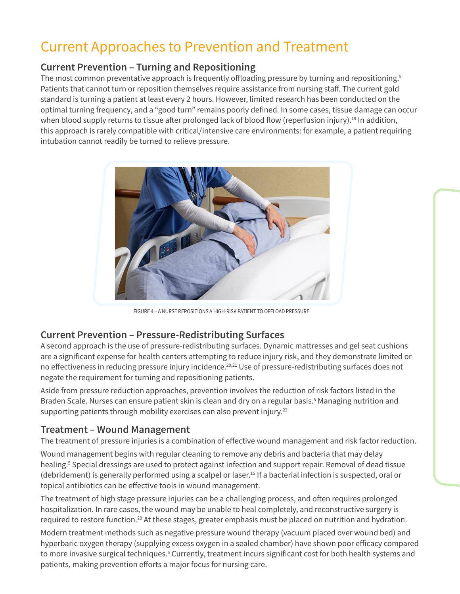### Current Approaches to Prevention and Treatment

#### **Current Prevention – Turning and Repositioning**

The most common preventative approach is frequently offloading pressure by turning and repositioning.<sup>5</sup> Patients that cannot turn or reposition themselves require assistance from nursing staff. The current gold standard is turning a patient at least every 2 hours. However, limited research has been conducted on the optimal turning frequency, and a "good turn" remains poorly defined. In some cases, tissue damage can occur when blood supply returns to tissue after prolonged lack of blood flow (reperfusion injury).<sup>19</sup> In addition, this approach is rarely compatible with critical/intensive care environments: for example, a patient requiring intubation cannot readily be turned to relieve pressure.



FIGURE 4 – A NURSE REPOSITIONS A HIGH-RISK PATIENT TO OFFLOAD PRESSURE

#### **Current Prevention – Pressure-Redistributing Surfaces**

A second approach is the use of pressure-redistributing surfaces. Dynamic mattresses and gel seat cushions are a significant expense for health centers attempting to reduce injury risk, and they demonstrate limited or no effectiveness in reducing pressure injury incidence.20,21 Use of pressure-redistributing surfaces does not negate the requirement for turning and repositioning patients.

Aside from pressure reduction approaches, prevention involves the reduction of risk factors listed in the Braden Scale. Nurses can ensure patient skin is clean and dry on a regular basis.<sup>5</sup> Managing nutrition and supporting patients through mobility exercises can also prevent injury.<sup>22</sup>

#### **Treatment – Wound Management**

The treatment of pressure injuries is a combination of effective wound management and risk factor reduction.

Wound management begins with regular cleaning to remove any debris and bacteria that may delay healing.<sup>5</sup> Special dressings are used to protect against infection and support repair. Removal of dead tissue (debridement) is generally performed using a scalpel or laser.<sup>15</sup> If a bacterial infection is suspected, oral or topical antibiotics can be effective tools in wound management.

The treatment of high stage pressure injuries can be a challenging process, and often requires prolonged hospitalization. In rare cases, the wound may be unable to heal completely, and reconstructive surgery is required to restore function.<sup>23</sup> At these stages, greater emphasis must be placed on nutrition and hydration.

Modern treatment methods such as negative pressure wound therapy (vacuum placed over wound bed) and hyperbaric oxygen therapy (supplying excess oxygen in a sealed chamber) have shown poor efficacy compared to more invasive surgical techniques.6 Currently, treatment incurs significant cost for both health systems and patients, making prevention efforts a major focus for nursing care.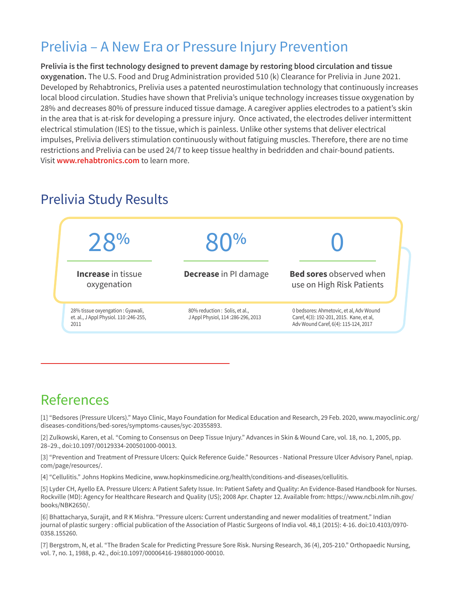### Prelivia – A New Era or Pressure Injury Prevention

**Prelivia is the first technology designed to prevent damage by restoring blood circulation and tissue oxygenation.** The U.S. Food and Drug Administration provided 510 (k) Clearance for Prelivia in June 2021. Developed by Rehabtronics, Prelivia uses a patented neurostimulation technology that continuously increases local blood circulation. Studies have shown that Prelivia's unique technology increases tissue oxygenation by 28% and decreases 80% of pressure induced tissue damage. A caregiver applies electrodes to a patient's skin in the area that is at-risk for developing a pressure injury. Once activated, the electrodes deliver intermittent electrical stimulation (IES) to the tissue, which is painless. Unlike other systems that deliver electrical impulses, Prelivia delivers stimulation continuously without fatiguing muscles. Therefore, there are no time restrictions and Prelivia can be used 24/7 to keep tissue healthy in bedridden and chair-bound patients. Visit **[www.rehabtronics.com](http://www.rehabtronics.com)** to learn more.



### Prelivia Study Results

### References

[1] "Bedsores (Pressure Ulcers)." Mayo Clinic, Mayo Foundation for Medical Education and Research, 29 Feb. 2020, www.mayoclinic.org/ diseases-conditions/bed-sores/symptoms-causes/syc-20355893.

[2] Zulkowski, Karen, et al. "Coming to Consensus on Deep Tissue Injury." Advances in Skin & Wound Care, vol. 18, no. 1, 2005, pp. 28–29., doi:10.1097/00129334-200501000-00013.

[3] "Prevention and Treatment of Pressure Ulcers: Quick Reference Guide." Resources - National Pressure Ulcer Advisory Panel, npiap. com/page/resources/.

[4] "Cellulitis." Johns Hopkins Medicine, www.hopkinsmedicine.org/health/conditions-and-diseases/cellulitis.

[5] Lyder CH, Ayello EA. Pressure Ulcers: A Patient Safety Issue. In: Patient Safety and Quality: An Evidence-Based Handbook for Nurses. Rockville (MD): Agency for Healthcare Research and Quality (US); 2008 Apr. Chapter 12. Available from: https://www.ncbi.nlm.nih.gov/ books/NBK2650/.

[6] Bhattacharya, Surajit, and R K Mishra. "Pressure ulcers: Current understanding and newer modalities of treatment." Indian journal of plastic surgery : official publication of the Association of Plastic Surgeons of India vol. 48,1 (2015): 4-16. doi:10.4103/0970- 0358.155260.

[7] Bergstrom, N, et al. "The Braden Scale for Predicting Pressure Sore Risk. Nursing Research, 36 (4), 205-210." Orthopaedic Nursing, vol. 7, no. 1, 1988, p. 42., doi:10.1097/00006416-198801000-00010.